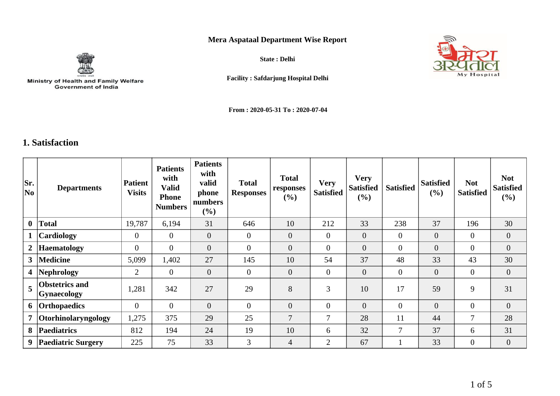## **Mera Aspataal Department Wise Report**



Ministry of Health and Family Welfare<br>Government of India

**State : Delhi**



**Facility : Safdarjung Hospital Delhi**

**From : 2020-05-31 To : 2020-07-04**

## **1. Satisfaction**

| Sr.<br>No               | <b>Departments</b>                          | <b>Patient</b><br><b>Visits</b> | <b>Patients</b><br>with<br><b>Valid</b><br><b>Phone</b><br><b>Numbers</b> | <b>Patients</b><br>with<br>valid<br>phone<br>numbers<br>$(\%)$ | <b>Total</b><br><b>Responses</b> | <b>Total</b><br>responses<br>(%) | <b>Very</b><br><b>Satisfied</b> | <b>Very</b><br><b>Satisfied</b><br>(%) | <b>Satisfied</b> | <b>Satisfied</b><br>$(\%)$ | <b>Not</b><br><b>Satisfied</b> | <b>Not</b><br><b>Satisfied</b><br>$(\%)$ |
|-------------------------|---------------------------------------------|---------------------------------|---------------------------------------------------------------------------|----------------------------------------------------------------|----------------------------------|----------------------------------|---------------------------------|----------------------------------------|------------------|----------------------------|--------------------------------|------------------------------------------|
| $\mathbf{0}$            | <b>Total</b>                                | 19,787                          | 6,194                                                                     | 31                                                             | 646                              | 10                               | 212                             | 33                                     | 238              | 37                         | 196                            | 30                                       |
|                         | <b>Cardiology</b>                           | $\overline{0}$                  | $\theta$                                                                  | $\mathbf{0}$                                                   | $\overline{0}$                   | $\overline{0}$                   | $\overline{0}$                  | $\overline{0}$                         | $\overline{0}$   | $\overline{0}$             | $\overline{0}$                 | $\overline{0}$                           |
| 2                       | <b>Haematology</b>                          | $\mathbf{0}$                    | $\overline{0}$                                                            | $\overline{0}$                                                 | $\overline{0}$                   | $\overline{0}$                   | $\mathbf{0}$                    | $\overline{0}$                         | $\mathbf{0}$     | $\overline{0}$             | $\overline{0}$                 | $\overline{0}$                           |
| 3 <sup>1</sup>          | <b>Medicine</b>                             | 5,099                           | 1,402                                                                     | 27                                                             | 145                              | 10                               | 54                              | 37                                     | 48               | 33                         | 43                             | 30                                       |
| $\overline{\mathbf{4}}$ | Nephrology                                  | $\overline{2}$                  | $\overline{0}$                                                            | $\overline{0}$                                                 | $\overline{0}$                   | $\overline{0}$                   | $\mathbf{0}$                    | $\mathbf{0}$                           | $\overline{0}$   | $\mathbf{0}$               | $\overline{0}$                 | $\overline{0}$                           |
| 5                       | <b>Obstetrics and</b><br><b>Gynaecology</b> | 1,281                           | 342                                                                       | 27                                                             | 29                               | 8                                | $\overline{3}$                  | 10                                     | 17               | 59                         | 9                              | 31                                       |
| 6                       | <b>Orthopaedics</b>                         | $\overline{0}$                  | $\Omega$                                                                  | $\overline{0}$                                                 | $\theta$                         | $\overline{0}$                   | $\boldsymbol{0}$                | $\overline{0}$                         | $\overline{0}$   | $\overline{0}$             | $\overline{0}$                 | $\overline{0}$                           |
| $\overline{7}$          | Otorhinolaryngology                         | 1,275                           | 375                                                                       | 29                                                             | 25                               | $\overline{7}$                   | 7                               | 28                                     | 11               | 44                         | $\tau$                         | 28                                       |
| 8                       | <b>Paediatrics</b>                          | 812                             | 194                                                                       | 24                                                             | 19                               | 10                               | 6                               | 32                                     | 7                | 37                         | 6                              | 31                                       |
| 9                       | <b>Paediatric Surgery</b>                   | 225                             | 75                                                                        | 33                                                             | 3                                | $\overline{4}$                   | $\overline{2}$                  | 67                                     |                  | 33                         | $\mathbf{0}$                   | $\overline{0}$                           |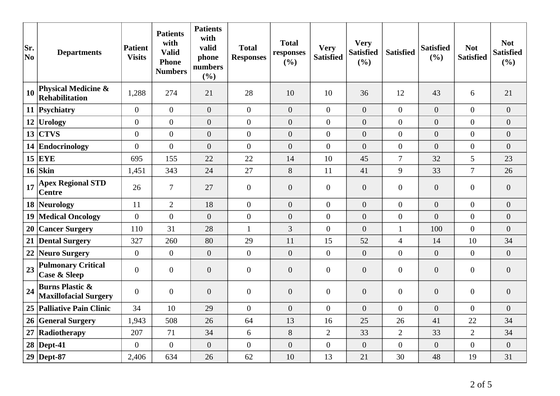| Sr.<br>No | <b>Departments</b>                                         | <b>Patient</b><br><b>Visits</b> | <b>Patients</b><br>with<br><b>Valid</b><br><b>Phone</b><br><b>Numbers</b> | <b>Patients</b><br>with<br>valid<br>phone<br>numbers<br>(%) | <b>Total</b><br><b>Responses</b> | <b>Total</b><br>responses<br>(%) | <b>Very</b><br><b>Satisfied</b> | <b>Very</b><br><b>Satisfied</b><br>(%) | <b>Satisfied</b> | <b>Satisfied</b><br>(%) | <b>Not</b><br><b>Satisfied</b> | <b>Not</b><br><b>Satisfied</b><br>(%) |
|-----------|------------------------------------------------------------|---------------------------------|---------------------------------------------------------------------------|-------------------------------------------------------------|----------------------------------|----------------------------------|---------------------------------|----------------------------------------|------------------|-------------------------|--------------------------------|---------------------------------------|
| 10        | <b>Physical Medicine &amp;</b><br><b>Rehabilitation</b>    | 1,288                           | 274                                                                       | 21                                                          | 28                               | 10                               | 10                              | 36                                     | 12               | 43                      | 6                              | 21                                    |
|           | 11 Psychiatry                                              | $\overline{0}$                  | $\overline{0}$                                                            | $\overline{0}$                                              | $\overline{0}$                   | $\overline{0}$                   | $\overline{0}$                  | $\overline{0}$                         | $\overline{0}$   | $\overline{0}$          | $\overline{0}$                 | $\overline{0}$                        |
|           | $12$ Urology                                               | $\overline{0}$                  | $\overline{0}$                                                            | $\overline{0}$                                              | $\overline{0}$                   | $\overline{0}$                   | $\overline{0}$                  | $\boldsymbol{0}$                       | $\overline{0}$   | $\overline{0}$          | $\boldsymbol{0}$               | $\overline{0}$                        |
| 13        | <b>CTVS</b>                                                | $\overline{0}$                  | $\overline{0}$                                                            | $\overline{0}$                                              | $\overline{0}$                   | $\overline{0}$                   | $\overline{0}$                  | $\overline{0}$                         | $\overline{0}$   | $\overline{0}$          | $\boldsymbol{0}$               | $\overline{0}$                        |
|           | 14 Endocrinology                                           | $\overline{0}$                  | $\overline{0}$                                                            | $\overline{0}$                                              | $\overline{0}$                   | $\overline{0}$                   | $\overline{0}$                  | $\overline{0}$                         | $\overline{0}$   | $\overline{0}$          | $\boldsymbol{0}$               | $\overline{0}$                        |
|           | $15$ EYE                                                   | 695                             | 155                                                                       | 22                                                          | 22                               | 14                               | 10                              | 45                                     | $\overline{7}$   | 32                      | 5                              | 23                                    |
|           | $16$ Skin                                                  | 1,451                           | 343                                                                       | 24                                                          | 27                               | 8                                | 11                              | 41                                     | 9                | 33                      | $\overline{7}$                 | 26                                    |
| 17        | <b>Apex Regional STD</b><br><b>Centre</b>                  | 26                              | $\boldsymbol{7}$                                                          | 27                                                          | $\boldsymbol{0}$                 | $\boldsymbol{0}$                 | $\mathbf{0}$                    | $\boldsymbol{0}$                       | $\overline{0}$   | $\overline{0}$          | $\overline{0}$                 | $\boldsymbol{0}$                      |
|           | 18 Neurology                                               | 11                              | $\overline{2}$                                                            | 18                                                          | $\mathbf{0}$                     | $\overline{0}$                   | $\overline{0}$                  | $\boldsymbol{0}$                       | $\overline{0}$   | $\overline{0}$          | $\boldsymbol{0}$               | $\overline{0}$                        |
|           | <b>19 Medical Oncology</b>                                 | $\overline{0}$                  | $\overline{0}$                                                            | $\overline{0}$                                              | $\overline{0}$                   | $\overline{0}$                   | $\overline{0}$                  | $\overline{0}$                         | $\overline{0}$   | $\overline{0}$          | $\overline{0}$                 | $\overline{0}$                        |
|           | 20 Cancer Surgery                                          | 110                             | 31                                                                        | 28                                                          | $\mathbf{1}$                     | $\overline{3}$                   | $\overline{0}$                  | $\overline{0}$                         | $\mathbf{1}$     | 100                     | $\overline{0}$                 | $\boldsymbol{0}$                      |
|           | 21 Dental Surgery                                          | 327                             | 260                                                                       | 80                                                          | 29                               | 11                               | 15                              | 52                                     | $\overline{4}$   | 14                      | 10                             | 34                                    |
|           | 22 Neuro Surgery                                           | $\overline{0}$                  | $\overline{0}$                                                            | $\overline{0}$                                              | $\overline{0}$                   | $\overline{0}$                   | $\overline{0}$                  | $\overline{0}$                         | $\overline{0}$   | $\overline{0}$          | $\overline{0}$                 | $\overline{0}$                        |
| 23        | <b>Pulmonary Critical</b><br><b>Case &amp; Sleep</b>       | $\boldsymbol{0}$                | $\overline{0}$                                                            | $\boldsymbol{0}$                                            | $\overline{0}$                   | $\boldsymbol{0}$                 | $\overline{0}$                  | $\boldsymbol{0}$                       | $\overline{0}$   | $\overline{0}$          | $\overline{0}$                 | $\overline{0}$                        |
| 24        | <b>Burns Plastic &amp;</b><br><b>Maxillofacial Surgery</b> | $\overline{0}$                  | $\overline{0}$                                                            | $\overline{0}$                                              | $\overline{0}$                   | $\overline{0}$                   | $\mathbf{0}$                    | $\overline{0}$                         | $\overline{0}$   | $\overline{0}$          | $\overline{0}$                 | $\overline{0}$                        |
|           | 25 Palliative Pain Clinic                                  | 34                              | 10                                                                        | 29                                                          | $\theta$                         | $\theta$                         | $\Omega$                        | $\overline{0}$                         | $\overline{0}$   | $\overline{0}$          | $\Omega$                       | $\overline{0}$                        |
|           | 26 General Surgery                                         | 1,943                           | 508                                                                       | 26                                                          | 64                               | 13                               | 16                              | 25                                     | 26               | 41                      | 22                             | 34                                    |
| 27        | Radiotherapy                                               | 207                             | 71                                                                        | 34                                                          | 6                                | $8\,$                            | $\mathbf{2}$                    | 33                                     | $\overline{2}$   | 33                      | $\overline{2}$                 | 34                                    |
|           | $28$ Dept-41                                               | $\overline{0}$                  | $\overline{0}$                                                            | $\overline{0}$                                              | $\overline{0}$                   | $\overline{0}$                   | $\overline{0}$                  | $\overline{0}$                         | $\overline{0}$   | $\overline{0}$          | $\overline{0}$                 | $\overline{0}$                        |
|           | $29$ Dept-87                                               | 2,406                           | 634                                                                       | 26                                                          | 62                               | 10                               | 13                              | 21                                     | 30               | 48                      | 19                             | 31                                    |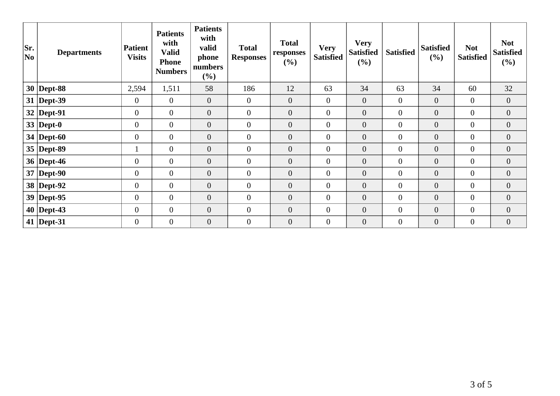| Sr.<br> No | <b>Departments</b> | <b>Patient</b><br><b>Visits</b> | <b>Patients</b><br>with<br><b>Valid</b><br><b>Phone</b><br><b>Numbers</b> | <b>Patients</b><br>with<br>valid<br>phone<br>numbers<br>(%) | <b>Total</b><br><b>Responses</b> | <b>Total</b><br>responses<br>(%) | <b>Very</b><br><b>Satisfied</b> | <b>Very</b><br><b>Satisfied</b><br>(%) | <b>Satisfied</b> | <b>Satisfied</b><br>(%) | <b>Not</b><br><b>Satisfied</b> | <b>Not</b><br><b>Satisfied</b><br>$(\%)$ |
|------------|--------------------|---------------------------------|---------------------------------------------------------------------------|-------------------------------------------------------------|----------------------------------|----------------------------------|---------------------------------|----------------------------------------|------------------|-------------------------|--------------------------------|------------------------------------------|
|            | $30$ Dept-88       | 2,594                           | 1,511                                                                     | 58                                                          | 186                              | 12                               | 63                              | 34                                     | 63               | 34                      | 60                             | 32                                       |
|            | $31$ Dept-39       | $\mathbf{0}$                    | $\overline{0}$                                                            | $\mathbf{0}$                                                | $\overline{0}$                   | $\overline{0}$                   | $\overline{0}$                  | $\mathbf{0}$                           | $\overline{0}$   | $\overline{0}$          | $\overline{0}$                 | $\overline{0}$                           |
|            | $32$ Dept-91       | $\overline{0}$                  | $\overline{0}$                                                            | $\overline{0}$                                              | $\overline{0}$                   | $\overline{0}$                   | $\overline{0}$                  | $\overline{0}$                         | $\overline{0}$   | $\boldsymbol{0}$        | $\overline{0}$                 | $\overline{0}$                           |
|            | 33   Dept-0        | $\boldsymbol{0}$                | $\overline{0}$                                                            | $\overline{0}$                                              | $\overline{0}$                   | $\overline{0}$                   | $\mathbf{0}$                    | $\boldsymbol{0}$                       | $\overline{0}$   | $\boldsymbol{0}$        | $\overline{0}$                 | $\overline{0}$                           |
|            | 34   Dept-60       | $\overline{0}$                  | $\overline{0}$                                                            | $\mathbf{0}$                                                | $\mathbf{0}$                     | $\boldsymbol{0}$                 | $\boldsymbol{0}$                | $\boldsymbol{0}$                       | $\overline{0}$   | $\boldsymbol{0}$        | $\overline{0}$                 | $\overline{0}$                           |
|            | $35$ Dept-89       | $\bf{I}$                        | $\overline{0}$                                                            | $\overline{0}$                                              | $\mathbf{0}$                     | $\overline{0}$                   | $\mathbf{0}$                    | $\overline{0}$                         | $\overline{0}$   | $\overline{0}$          | $\overline{0}$                 | $\overline{0}$                           |
|            | 36   Dept-46       | $\boldsymbol{0}$                | $\overline{0}$                                                            | $\overline{0}$                                              | $\overline{0}$                   | $\overline{0}$                   | $\overline{0}$                  | $\overline{0}$                         | $\overline{0}$   | $\overline{0}$          | $\overline{0}$                 | $\overline{0}$                           |
|            | $37$ Dept-90       | $\overline{0}$                  | $\overline{0}$                                                            | $\theta$                                                    | $\mathbf{0}$                     | $\overline{0}$                   | $\mathbf{0}$                    | $\overline{0}$                         | $\overline{0}$   | $\boldsymbol{0}$        | $\overline{0}$                 | $\overline{0}$                           |
|            | 38 Dept-92         | $\boldsymbol{0}$                | $\overline{0}$                                                            | $\boldsymbol{0}$                                            | $\boldsymbol{0}$                 | $\boldsymbol{0}$                 | $\boldsymbol{0}$                | $\boldsymbol{0}$                       | $\overline{0}$   | $\boldsymbol{0}$        | $\boldsymbol{0}$               | $\overline{0}$                           |
|            | $39$ Dept-95       | $\mathbf{0}$                    | $\overline{0}$                                                            | $\mathbf{0}$                                                | $\mathbf{0}$                     | $\overline{0}$                   | $\boldsymbol{0}$                | $\boldsymbol{0}$                       | $\boldsymbol{0}$ | $\boldsymbol{0}$        | $\overline{0}$                 | $\boldsymbol{0}$                         |
|            | $40$ Dept-43       | $\mathbf{0}$                    | $\boldsymbol{0}$                                                          | $\boldsymbol{0}$                                            | $\mathbf{0}$                     | $\overline{0}$                   | $\boldsymbol{0}$                | $\overline{0}$                         | $\overline{0}$   | $\boldsymbol{0}$        | $\overline{0}$                 | $\overline{0}$                           |
|            | 41   Dept-31       | $\overline{0}$                  | $\overline{0}$                                                            | $\overline{0}$                                              | $\overline{0}$                   | $\overline{0}$                   | $\mathbf{0}$                    | $\overline{0}$                         | $\overline{0}$   | $\overline{0}$          | $\overline{0}$                 | $\overline{0}$                           |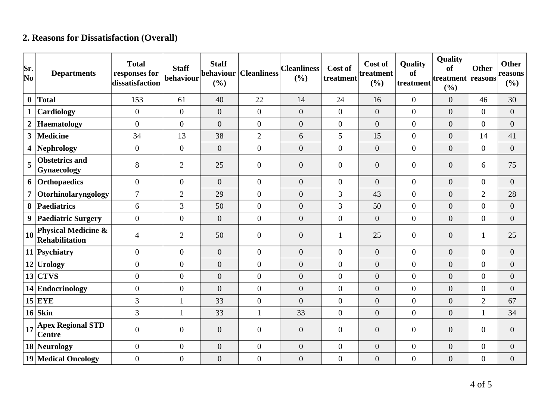## **2. Reasons for Dissatisfaction (Overall)**

| Sr.<br>$ N_{0} $ | <b>Departments</b>                                      | <b>Total</b><br>responses for<br>dissatisfaction | <b>Staff</b><br>behaviour | <b>Staff</b><br>behaviour<br>(%) | <b>Cleanliness</b> | <b>Cleanliness</b><br>(%) | Cost of<br>treatment | Cost of<br>treatment<br>(%) | Quality<br>of<br>treatment | Quality<br>of<br>treatment reasons<br>(%) | <b>Other</b>     | <b>Other</b><br>reasons<br>$(\%)$ |
|------------------|---------------------------------------------------------|--------------------------------------------------|---------------------------|----------------------------------|--------------------|---------------------------|----------------------|-----------------------------|----------------------------|-------------------------------------------|------------------|-----------------------------------|
| $\bf{0}$         | <b>Total</b>                                            | 153                                              | 61                        | 40                               | 22                 | 14                        | 24                   | 16                          | $\boldsymbol{0}$           | $\overline{0}$                            | 46               | 30                                |
| $\mathbf{1}$     | Cardiology                                              | $\overline{0}$                                   | $\overline{0}$            | $\boldsymbol{0}$                 | $\overline{0}$     | $\boldsymbol{0}$          | $\overline{0}$       | $\boldsymbol{0}$            | $\boldsymbol{0}$           | $\overline{0}$                            | $\overline{0}$   | $\boldsymbol{0}$                  |
| $\boldsymbol{2}$ | <b>Haematology</b>                                      | $\Omega$                                         | $\overline{0}$            | $\overline{0}$                   | $\overline{0}$     | $\overline{0}$            | $\overline{0}$       | $\overline{0}$              | $\overline{0}$             | $\overline{0}$                            | $\overline{0}$   | $\overline{0}$                    |
| 3 <sup>1</sup>   | <b>Medicine</b>                                         | 34                                               | 13                        | 38                               | $\overline{2}$     | 6                         | 5                    | 15                          | $\boldsymbol{0}$           | $\overline{0}$                            | 14               | 41                                |
| 4                | <b>Nephrology</b>                                       | $\overline{0}$                                   | $\overline{0}$            | $\overline{0}$                   | $\overline{0}$     | $\theta$                  | $\overline{0}$       | $\boldsymbol{0}$            | $\boldsymbol{0}$           | $\overline{0}$                            | $\overline{0}$   | $\overline{0}$                    |
| 5                | <b>Obstetrics and</b><br><b>Gynaecology</b>             | 8                                                | $\overline{2}$            | 25                               | $\overline{0}$     | $\theta$                  | $\overline{0}$       | $\boldsymbol{0}$            | $\overline{0}$             | $\overline{0}$                            | 6                | 75                                |
| 6                | Orthopaedics                                            | $\overline{0}$                                   | $\overline{0}$            | $\overline{0}$                   | $\overline{0}$     | $\theta$                  | $\overline{0}$       | $\overline{0}$              | $\boldsymbol{0}$           | $\overline{0}$                            | $\overline{0}$   | $\overline{0}$                    |
| $\overline{7}$   | Otorhinolaryngology                                     | $\overline{7}$                                   | $\overline{2}$            | 29                               | $\overline{0}$     | $\overline{0}$            | 3                    | 43                          | $\overline{0}$             | $\overline{0}$                            | $\overline{2}$   | 28                                |
| 8                | Paediatrics                                             | 6                                                | 3                         | 50                               | $\overline{0}$     | $\overline{0}$            | 3                    | 50                          | $\boldsymbol{0}$           | $\overline{0}$                            | $\boldsymbol{0}$ | $\boldsymbol{0}$                  |
| 9                | <b>Paediatric Surgery</b>                               | $\overline{0}$                                   | $\overline{0}$            | $\overline{0}$                   | $\overline{0}$     | $\theta$                  | $\overline{0}$       | $\overline{0}$              | $\overline{0}$             | $\overline{0}$                            | $\overline{0}$   | $\boldsymbol{0}$                  |
| 10               | <b>Physical Medicine &amp;</b><br><b>Rehabilitation</b> | $\overline{4}$                                   | $\overline{2}$            | 50                               | $\overline{0}$     | $\boldsymbol{0}$          |                      | 25                          | $\boldsymbol{0}$           | $\overline{0}$                            | $\mathbf{1}$     | 25                                |
|                  | 11 Psychiatry                                           | $\overline{0}$                                   | $\overline{0}$            | $\overline{0}$                   | $\overline{0}$     | $\overline{0}$            | $\overline{0}$       | $\overline{0}$              | $\boldsymbol{0}$           | $\overline{0}$                            | $\overline{0}$   | $\boldsymbol{0}$                  |
|                  | $12$ Urology                                            | $\Omega$                                         | $\overline{0}$            | $\overline{0}$                   | $\overline{0}$     | $\overline{0}$            | $\overline{0}$       | $\overline{0}$              | $\overline{0}$             | $\overline{0}$                            | $\overline{0}$   | $\overline{0}$                    |
|                  | $13$ CTVS                                               | $\overline{0}$                                   | $\overline{0}$            | $\boldsymbol{0}$                 | $\overline{0}$     | $\overline{0}$            | $\overline{0}$       | $\overline{0}$              | $\overline{0}$             | $\overline{0}$                            | $\boldsymbol{0}$ | $\boldsymbol{0}$                  |
|                  | 14 Endocrinology                                        | $\overline{0}$                                   | $\overline{0}$            | $\overline{0}$                   | $\overline{0}$     | $\theta$                  | $\overline{0}$       | $\overline{0}$              | $\overline{0}$             | $\overline{0}$                            | $\boldsymbol{0}$ | $\overline{0}$                    |
|                  | $15$ EYE                                                | 3                                                | 1                         | 33                               | $\overline{0}$     | $\theta$                  | $\overline{0}$       | $\overline{0}$              | $\boldsymbol{0}$           | $\overline{0}$                            | $\overline{2}$   | 67                                |
|                  | $16$ Skin                                               | 3                                                | $\mathbf{1}$              | 33                               | $\mathbf{1}$       | 33                        | $\overline{0}$       | $\overline{0}$              | $\overline{0}$             | $\overline{0}$                            | $\mathbf{1}$     | 34                                |
| 17               | <b>Apex Regional STD</b><br><b>Centre</b>               | $\theta$                                         | $\overline{0}$            | $\boldsymbol{0}$                 | $\overline{0}$     | $\boldsymbol{0}$          | $\overline{0}$       | $\boldsymbol{0}$            | $\overline{0}$             | $\overline{0}$                            | $\boldsymbol{0}$ | $\boldsymbol{0}$                  |
|                  | 18 Neurology                                            | $\overline{0}$                                   | $\boldsymbol{0}$          | $\boldsymbol{0}$                 | $\boldsymbol{0}$   | $\boldsymbol{0}$          | $\overline{0}$       | $\boldsymbol{0}$            | $\overline{0}$             | $\overline{0}$                            | $\boldsymbol{0}$ | $\boldsymbol{0}$                  |
|                  | <b>19 Medical Oncology</b>                              | $\overline{0}$                                   | $\boldsymbol{0}$          | $\boldsymbol{0}$                 | $\overline{0}$     | $\boldsymbol{0}$          | $\overline{0}$       | $\boldsymbol{0}$            | $\boldsymbol{0}$           | $\boldsymbol{0}$                          | $\boldsymbol{0}$ | $\boldsymbol{0}$                  |